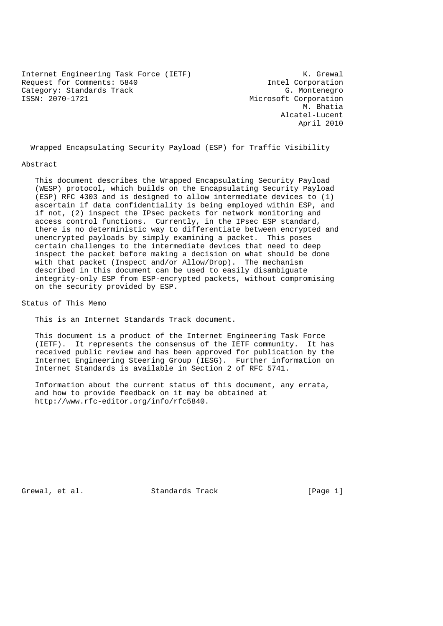Internet Engineering Task Force (IETF) The Control of the K. Grewal Request for Comments: 5840 Intel Corporation Category: Standards Track G. Montenegro ISSN: 2070-1721 Microsoft Corporation

 M. Bhatia Alcatel-Lucent April 2010

Wrapped Encapsulating Security Payload (ESP) for Traffic Visibility

#### Abstract

 This document describes the Wrapped Encapsulating Security Payload (WESP) protocol, which builds on the Encapsulating Security Payload (ESP) RFC 4303 and is designed to allow intermediate devices to (1) ascertain if data confidentiality is being employed within ESP, and if not, (2) inspect the IPsec packets for network monitoring and access control functions. Currently, in the IPsec ESP standard, there is no deterministic way to differentiate between encrypted and unencrypted payloads by simply examining a packet. This poses certain challenges to the intermediate devices that need to deep inspect the packet before making a decision on what should be done with that packet (Inspect and/or Allow/Drop). The mechanism described in this document can be used to easily disambiguate integrity-only ESP from ESP-encrypted packets, without compromising on the security provided by ESP.

Status of This Memo

This is an Internet Standards Track document.

 This document is a product of the Internet Engineering Task Force (IETF). It represents the consensus of the IETF community. It has received public review and has been approved for publication by the Internet Engineering Steering Group (IESG). Further information on Internet Standards is available in Section 2 of RFC 5741.

 Information about the current status of this document, any errata, and how to provide feedback on it may be obtained at http://www.rfc-editor.org/info/rfc5840.

Grewal, et al. Standards Track [Page 1]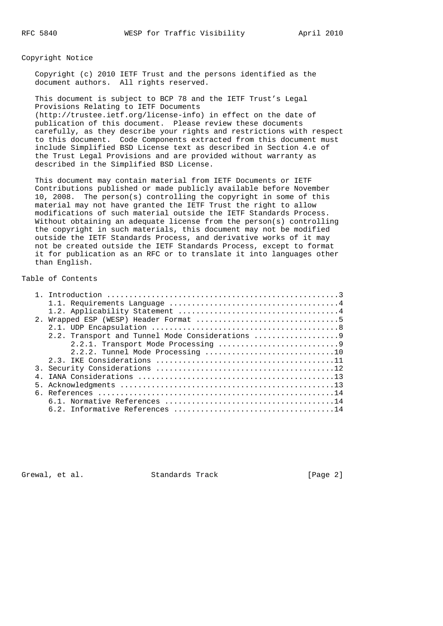Copyright Notice

 Copyright (c) 2010 IETF Trust and the persons identified as the document authors. All rights reserved.

 This document is subject to BCP 78 and the IETF Trust's Legal Provisions Relating to IETF Documents (http://trustee.ietf.org/license-info) in effect on the date of publication of this document. Please review these documents carefully, as they describe your rights and restrictions with respect to this document. Code Components extracted from this document must include Simplified BSD License text as described in Section 4.e of the Trust Legal Provisions and are provided without warranty as described in the Simplified BSD License.

 This document may contain material from IETF Documents or IETF Contributions published or made publicly available before November 10, 2008. The person(s) controlling the copyright in some of this material may not have granted the IETF Trust the right to allow modifications of such material outside the IETF Standards Process. Without obtaining an adequate license from the person(s) controlling the copyright in such materials, this document may not be modified outside the IETF Standards Process, and derivative works of it may not be created outside the IETF Standards Process, except to format it for publication as an RFC or to translate it into languages other than English.

# Table of Contents

| 2.2. Transport and Tunnel Mode Considerations 9 |
|-------------------------------------------------|
|                                                 |
| 2.2.2. Tunnel Mode Processing 10                |
|                                                 |
|                                                 |
|                                                 |
|                                                 |
|                                                 |
|                                                 |
|                                                 |

Grewal, et al. Standards Track [Page 2]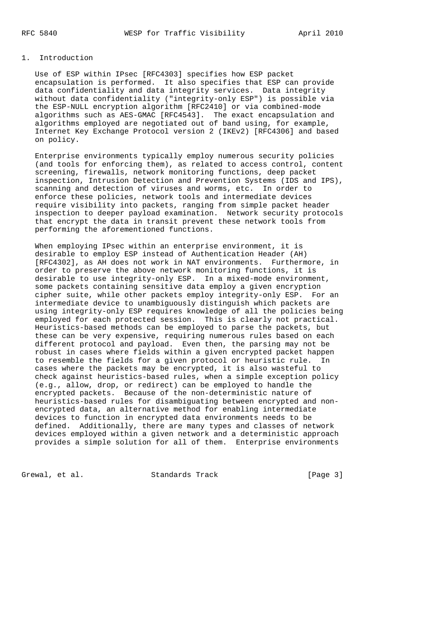#### 1. Introduction

 Use of ESP within IPsec [RFC4303] specifies how ESP packet encapsulation is performed. It also specifies that ESP can provide data confidentiality and data integrity services. Data integrity without data confidentiality ("integrity-only ESP") is possible via the ESP-NULL encryption algorithm [RFC2410] or via combined-mode algorithms such as AES-GMAC [RFC4543]. The exact encapsulation and algorithms employed are negotiated out of band using, for example, Internet Key Exchange Protocol version 2 (IKEv2) [RFC4306] and based on policy.

 Enterprise environments typically employ numerous security policies (and tools for enforcing them), as related to access control, content screening, firewalls, network monitoring functions, deep packet inspection, Intrusion Detection and Prevention Systems (IDS and IPS), scanning and detection of viruses and worms, etc. In order to enforce these policies, network tools and intermediate devices require visibility into packets, ranging from simple packet header inspection to deeper payload examination. Network security protocols that encrypt the data in transit prevent these network tools from performing the aforementioned functions.

 When employing IPsec within an enterprise environment, it is desirable to employ ESP instead of Authentication Header (AH) [RFC4302], as AH does not work in NAT environments. Furthermore, in order to preserve the above network monitoring functions, it is desirable to use integrity-only ESP. In a mixed-mode environment, some packets containing sensitive data employ a given encryption cipher suite, while other packets employ integrity-only ESP. For an intermediate device to unambiguously distinguish which packets are using integrity-only ESP requires knowledge of all the policies being employed for each protected session. This is clearly not practical. Heuristics-based methods can be employed to parse the packets, but these can be very expensive, requiring numerous rules based on each different protocol and payload. Even then, the parsing may not be robust in cases where fields within a given encrypted packet happen to resemble the fields for a given protocol or heuristic rule. In cases where the packets may be encrypted, it is also wasteful to check against heuristics-based rules, when a simple exception policy (e.g., allow, drop, or redirect) can be employed to handle the encrypted packets. Because of the non-deterministic nature of heuristics-based rules for disambiguating between encrypted and non encrypted data, an alternative method for enabling intermediate devices to function in encrypted data environments needs to be defined. Additionally, there are many types and classes of network devices employed within a given network and a deterministic approach provides a simple solution for all of them. Enterprise environments

Grewal, et al. Standards Track [Page 3]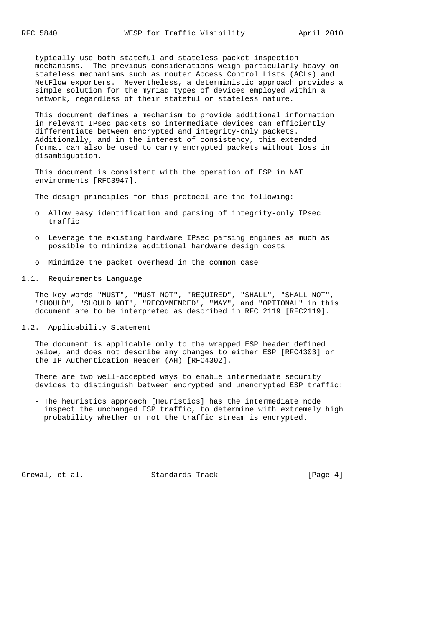typically use both stateful and stateless packet inspection mechanisms. The previous considerations weigh particularly heavy on stateless mechanisms such as router Access Control Lists (ACLs) and NetFlow exporters. Nevertheless, a deterministic approach provides a simple solution for the myriad types of devices employed within a network, regardless of their stateful or stateless nature.

 This document defines a mechanism to provide additional information in relevant IPsec packets so intermediate devices can efficiently differentiate between encrypted and integrity-only packets. Additionally, and in the interest of consistency, this extended format can also be used to carry encrypted packets without loss in disambiguation.

 This document is consistent with the operation of ESP in NAT environments [RFC3947].

The design principles for this protocol are the following:

- o Allow easy identification and parsing of integrity-only IPsec traffic
- o Leverage the existing hardware IPsec parsing engines as much as possible to minimize additional hardware design costs
- o Minimize the packet overhead in the common case
- 1.1. Requirements Language

 The key words "MUST", "MUST NOT", "REQUIRED", "SHALL", "SHALL NOT", "SHOULD", "SHOULD NOT", "RECOMMENDED", "MAY", and "OPTIONAL" in this document are to be interpreted as described in RFC 2119 [RFC2119].

1.2. Applicability Statement

 The document is applicable only to the wrapped ESP header defined below, and does not describe any changes to either ESP [RFC4303] or the IP Authentication Header (AH) [RFC4302].

 There are two well-accepted ways to enable intermediate security devices to distinguish between encrypted and unencrypted ESP traffic:

 - The heuristics approach [Heuristics] has the intermediate node inspect the unchanged ESP traffic, to determine with extremely high probability whether or not the traffic stream is encrypted.

Grewal, et al. Standards Track [Page 4]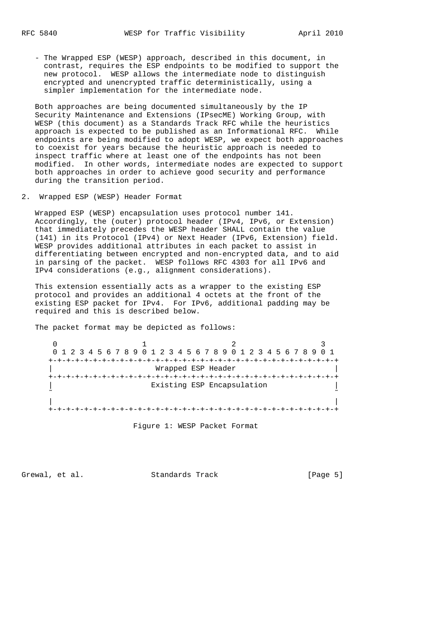- The Wrapped ESP (WESP) approach, described in this document, in contrast, requires the ESP endpoints to be modified to support the new protocol. WESP allows the intermediate node to distinguish encrypted and unencrypted traffic deterministically, using a simpler implementation for the intermediate node.

 Both approaches are being documented simultaneously by the IP Security Maintenance and Extensions (IPsecME) Working Group, with WESP (this document) as a Standards Track RFC while the heuristics approach is expected to be published as an Informational RFC. While endpoints are being modified to adopt WESP, we expect both approaches to coexist for years because the heuristic approach is needed to inspect traffic where at least one of the endpoints has not been modified. In other words, intermediate nodes are expected to support both approaches in order to achieve good security and performance during the transition period.

2. Wrapped ESP (WESP) Header Format

 Wrapped ESP (WESP) encapsulation uses protocol number 141. Accordingly, the (outer) protocol header (IPv4, IPv6, or Extension) that immediately precedes the WESP header SHALL contain the value (141) in its Protocol (IPv4) or Next Header (IPv6, Extension) field. WESP provides additional attributes in each packet to assist in differentiating between encrypted and non-encrypted data, and to aid in parsing of the packet. WESP follows RFC 4303 for all IPv6 and IPv4 considerations (e.g., alignment considerations).

 This extension essentially acts as a wrapper to the existing ESP protocol and provides an additional 4 octets at the front of the existing ESP packet for IPv4. For IPv6, additional padding may be required and this is described below.

The packet format may be depicted as follows:

 $0$  1 2 3 0 1 2 3 4 5 6 7 8 9 0 1 2 3 4 5 6 7 8 9 0 1 2 3 4 5 6 7 8 9 0 1 +-+-+-+-+-+-+-+-+-+-+-+-+-+-+-+-+-+-+-+-+-+-+-+-+-+-+-+-+-+-+-+-+ | Wrapped ESP Header | +-+-+-+-+-+-+-+-+-+-+-+-+-+-+-+-+-+-+-+-+-+-+-+-+-+-+-+-+-+-+-+-+ Existing ESP Encapsulation ˜ ˜ | | +-+-+-+-+-+-+-+-+-+-+-+-+-+-+-+-+-+-+-+-+-+-+-+-+-+-+-+-+-+-+-+-+

Figure 1: WESP Packet Format

Grewal, et al. Standards Track [Page 5]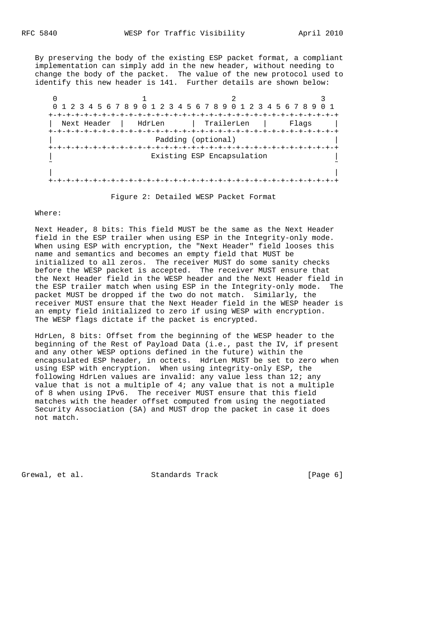By preserving the body of the existing ESP packet format, a compliant implementation can simply add in the new header, without needing to change the body of the packet. The value of the new protocol used to identify this new header is 141. Further details are shown below:

| +-+-+-+-+-+-+-+<br>  TrailerLen<br>HdrLen<br>Next Header<br>Flaqs<br>Padding (optional)<br>-+-+-+-+-+-+-+-+-<br>Existing ESP Encapsulation |  | 0 1 2 3 4 5 6 7 8 9 0 1 2 3 4 5 6 7 8 9 0 1 2 3 4 5 6 7 8 9 |  |
|--------------------------------------------------------------------------------------------------------------------------------------------|--|-------------------------------------------------------------|--|
|                                                                                                                                            |  |                                                             |  |
|                                                                                                                                            |  |                                                             |  |
|                                                                                                                                            |  |                                                             |  |
|                                                                                                                                            |  |                                                             |  |
|                                                                                                                                            |  |                                                             |  |
|                                                                                                                                            |  |                                                             |  |
|                                                                                                                                            |  |                                                             |  |

Figure 2: Detailed WESP Packet Format

### Where:

 Next Header, 8 bits: This field MUST be the same as the Next Header field in the ESP trailer when using ESP in the Integrity-only mode. When using ESP with encryption, the "Next Header" field looses this name and semantics and becomes an empty field that MUST be initialized to all zeros. The receiver MUST do some sanity checks before the WESP packet is accepted. The receiver MUST ensure that the Next Header field in the WESP header and the Next Header field in the ESP trailer match when using ESP in the Integrity-only mode. The packet MUST be dropped if the two do not match. Similarly, the receiver MUST ensure that the Next Header field in the WESP header is an empty field initialized to zero if using WESP with encryption. The WESP flags dictate if the packet is encrypted.

 HdrLen, 8 bits: Offset from the beginning of the WESP header to the beginning of the Rest of Payload Data (i.e., past the IV, if present and any other WESP options defined in the future) within the encapsulated ESP header, in octets. HdrLen MUST be set to zero when using ESP with encryption. When using integrity-only ESP, the following HdrLen values are invalid: any value less than 12; any value that is not a multiple of 4; any value that is not a multiple of 8 when using IPv6. The receiver MUST ensure that this field matches with the header offset computed from using the negotiated Security Association (SA) and MUST drop the packet in case it does not match.

Grewal, et al. Standards Track [Page 6]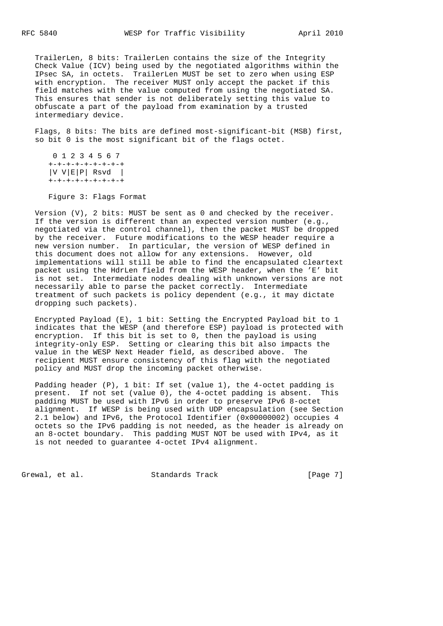TrailerLen, 8 bits: TrailerLen contains the size of the Integrity Check Value (ICV) being used by the negotiated algorithms within the IPsec SA, in octets. TrailerLen MUST be set to zero when using ESP with encryption. The receiver MUST only accept the packet if this field matches with the value computed from using the negotiated SA. This ensures that sender is not deliberately setting this value to obfuscate a part of the payload from examination by a trusted intermediary device.

 Flags, 8 bits: The bits are defined most-significant-bit (MSB) first, so bit 0 is the most significant bit of the flags octet.

```
 0 1 2 3 4 5 6 7
 +-+-+-+-+-+-+-+-+
|V V|E|P| Rsvd |V +-+-+-+-+-+-+-+-+
```
Figure 3: Flags Format

 Version (V), 2 bits: MUST be sent as 0 and checked by the receiver. If the version is different than an expected version number (e.g., negotiated via the control channel), then the packet MUST be dropped by the receiver. Future modifications to the WESP header require a new version number. In particular, the version of WESP defined in this document does not allow for any extensions. However, old implementations will still be able to find the encapsulated cleartext packet using the HdrLen field from the WESP header, when the 'E' bit is not set. Intermediate nodes dealing with unknown versions are not necessarily able to parse the packet correctly. Intermediate treatment of such packets is policy dependent (e.g., it may dictate dropping such packets).

 Encrypted Payload (E), 1 bit: Setting the Encrypted Payload bit to 1 indicates that the WESP (and therefore ESP) payload is protected with encryption. If this bit is set to 0, then the payload is using integrity-only ESP. Setting or clearing this bit also impacts the value in the WESP Next Header field, as described above. The recipient MUST ensure consistency of this flag with the negotiated policy and MUST drop the incoming packet otherwise.

 Padding header (P), 1 bit: If set (value 1), the 4-octet padding is present. If not set (value 0), the 4-octet padding is absent. This padding MUST be used with IPv6 in order to preserve IPv6 8-octet alignment. If WESP is being used with UDP encapsulation (see Section 2.1 below) and IPv6, the Protocol Identifier (0x00000002) occupies 4 octets so the IPv6 padding is not needed, as the header is already on an 8-octet boundary. This padding MUST NOT be used with IPv4, as it is not needed to guarantee 4-octet IPv4 alignment.

Grewal, et al. Standards Track [Page 7]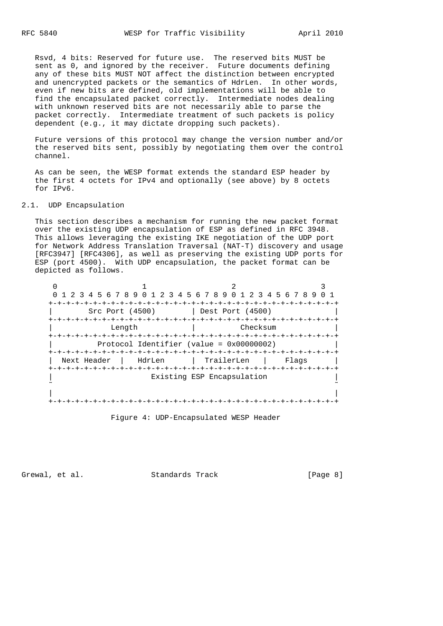Rsvd, 4 bits: Reserved for future use. The reserved bits MUST be sent as 0, and ignored by the receiver. Future documents defining any of these bits MUST NOT affect the distinction between encrypted and unencrypted packets or the semantics of HdrLen. In other words, even if new bits are defined, old implementations will be able to find the encapsulated packet correctly. Intermediate nodes dealing with unknown reserved bits are not necessarily able to parse the packet correctly. Intermediate treatment of such packets is policy dependent (e.g., it may dictate dropping such packets).

 Future versions of this protocol may change the version number and/or the reserved bits sent, possibly by negotiating them over the control channel.

 As can be seen, the WESP format extends the standard ESP header by the first 4 octets for IPv4 and optionally (see above) by 8 octets for IPv6.

### 2.1. UDP Encapsulation

 This section describes a mechanism for running the new packet format over the existing UDP encapsulation of ESP as defined in RFC 3948. This allows leveraging the existing IKE negotiation of the UDP port for Network Address Translation Traversal (NAT-T) discovery and usage [RFC3947] [RFC4306], as well as preserving the existing UDP ports for ESP (port 4500). With UDP encapsulation, the packet format can be depicted as follows.

| Next Header                                                                                                                                                                                                                 | HdrLen | TrailerLen | Flaqs |
|-----------------------------------------------------------------------------------------------------------------------------------------------------------------------------------------------------------------------------|--------|------------|-------|
| 0 1 2 3 4 5 6 7 8 9 0 1 2 3 4 5 6 7 8 9 0 1 2 3 4 5 6 7 8 9<br>Src Port (4500)<br>Dest Port (4500)<br>Checksum<br>Length<br>-+-+-+-+-+-+-+-+-+<br>Protocol Identifier (value = $0x00000002$ )<br>Existing ESP Encapsulation |        |            |       |
|                                                                                                                                                                                                                             |        |            |       |
|                                                                                                                                                                                                                             |        |            |       |
|                                                                                                                                                                                                                             |        |            |       |
|                                                                                                                                                                                                                             |        |            |       |

Figure 4: UDP-Encapsulated WESP Header

Grewal, et al. Standards Track [Page 8]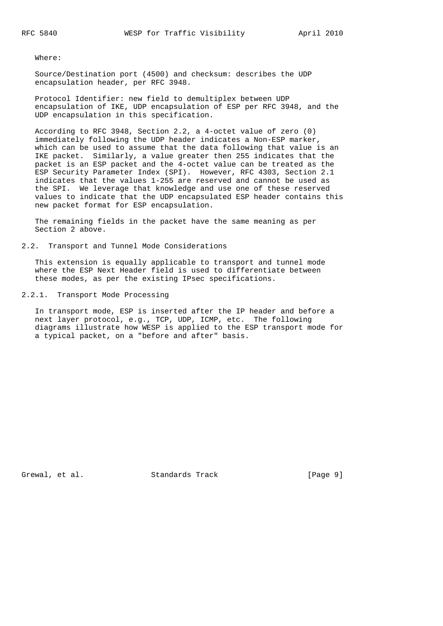Where:

 Source/Destination port (4500) and checksum: describes the UDP encapsulation header, per RFC 3948.

 Protocol Identifier: new field to demultiplex between UDP encapsulation of IKE, UDP encapsulation of ESP per RFC 3948, and the UDP encapsulation in this specification.

 According to RFC 3948, Section 2.2, a 4-octet value of zero (0) immediately following the UDP header indicates a Non-ESP marker, which can be used to assume that the data following that value is an IKE packet. Similarly, a value greater then 255 indicates that the packet is an ESP packet and the 4-octet value can be treated as the ESP Security Parameter Index (SPI). However, RFC 4303, Section 2.1 indicates that the values 1-255 are reserved and cannot be used as the SPI. We leverage that knowledge and use one of these reserved values to indicate that the UDP encapsulated ESP header contains this new packet format for ESP encapsulation.

 The remaining fields in the packet have the same meaning as per Section 2 above.

2.2. Transport and Tunnel Mode Considerations

 This extension is equally applicable to transport and tunnel mode where the ESP Next Header field is used to differentiate between these modes, as per the existing IPsec specifications.

2.2.1. Transport Mode Processing

 In transport mode, ESP is inserted after the IP header and before a next layer protocol, e.g., TCP, UDP, ICMP, etc. The following diagrams illustrate how WESP is applied to the ESP transport mode for a typical packet, on a "before and after" basis.

Grewal, et al. Standards Track [Page 9]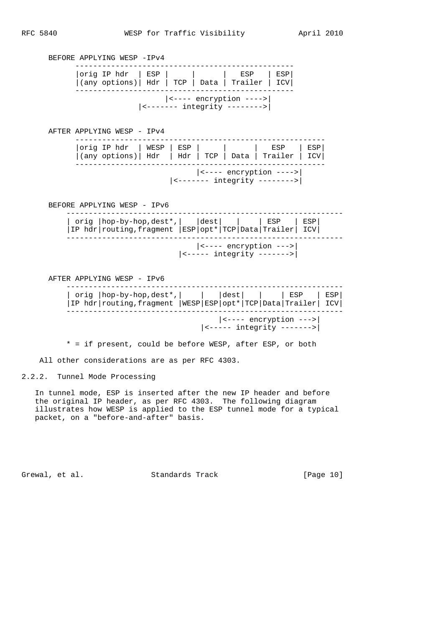BEFORE APPLYING WESP -IPv4 -------------------------------------------------  $|orig IP hat | ESP | |$  |  $|$  ESP | ESP  $|(any options)|$  Hdr | TCP | Data | Trailer | ICV| ------------------------------------------------- |<---- encryption ---->| |<------- integrity -------->| AFTER APPLYING WESP - IPv4 --------------------------------------------------------  $|orig IP hdr | WESP | ESP |$  | | | ESP | ESP |(any options)| Hdr | Hdr | TCP | Data | Trailer | ICV| -------------------------------------------------------- |<---- encryption ---->| |<------- integrity -------->| BEFORE APPLYING WESP - IPv6 -------------------------------------------------------------- | orig |hop-by-hop,dest\*,| |dest| | | ESP | ESP| |IP hdr|routing,fragment |ESP|opt\*|TCP|Data|Trailer| ICV| -------------------------------------------------------------- |<---- encryption --->| |<----- integrity ------->|

AFTER APPLYING WESP - IPv6

|  |  |  | $\vert$ <---- encryption ---> $\vert$<br><----- integrity -------> |  |
|--|--|--|--------------------------------------------------------------------|--|
|  |  |  |                                                                    |  |

\* = if present, could be before WESP, after ESP, or both

All other considerations are as per RFC 4303.

2.2.2. Tunnel Mode Processing

 In tunnel mode, ESP is inserted after the new IP header and before the original IP header, as per RFC 4303. The following diagram illustrates how WESP is applied to the ESP tunnel mode for a typical packet, on a "before-and-after" basis.

Grewal, et al. Standards Track [Page 10]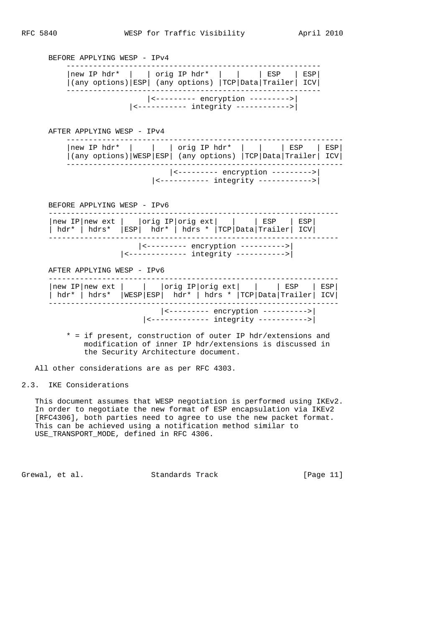BEFORE APPLYING WESP - IPv4 --------------------------------------------------------- |new IP hdr\* | | orig IP hdr\* | | | ESP | ESP| |(any options)|ESP| (any options) |TCP|Data|Trailer| ICV| --------------------------------------------------------- |<--------- encryption --------->| |<----------- integrity ------------>| AFTER APPLYING WESP - IPv4 -------------------------------------------------------------- |new IP hdr\* | | | orig IP hdr\* | | | ESP | ESP| |(any options)|WESP|ESP| (any options) |TCP|Data|Trailer| ICV| -------------------------------------------------------------- |<--------- encryption --------->| |<----------- integrity ------------>| BEFORE APPLYING WESP - IPv6 ----------------------------------------------------------------- |new IP|new ext | |orig IP|orig ext| | | ESP | ESP| | hdr\* | hdrs\* |ESP| hdr\* | hdrs \* |TCP|Data|Trailer| ICV| ----------------------------------------------------------------- |<--------- encryption ---------->| |<------------- integrity ----------->| AFTER APPLYING WESP - IPv6 -----------------------------------------------------------------

|  | $ \leftarrow-----$ encryption ----------><br>$ $ <------------- integrity -----------> |  |
|--|----------------------------------------------------------------------------------------|--|

 \* = if present, construction of outer IP hdr/extensions and modification of inner IP hdr/extensions is discussed in the Security Architecture document.

All other considerations are as per RFC 4303.

## 2.3. IKE Considerations

 This document assumes that WESP negotiation is performed using IKEv2. In order to negotiate the new format of ESP encapsulation via IKEv2 [RFC4306], both parties need to agree to use the new packet format. This can be achieved using a notification method similar to USE TRANSPORT MODE, defined in RFC 4306.

Grewal, et al. Standards Track [Page 11]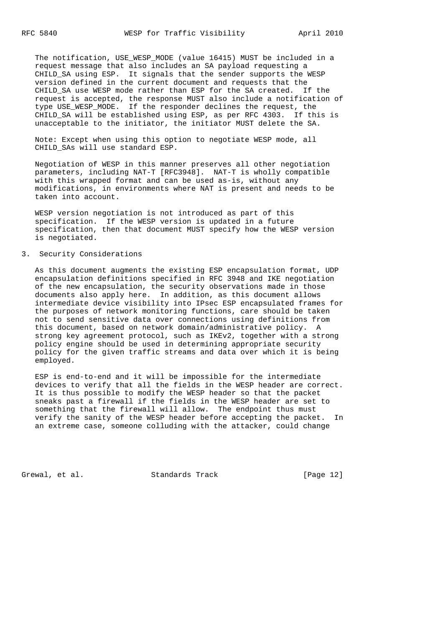The notification, USE\_WESP\_MODE (value 16415) MUST be included in a request message that also includes an SA payload requesting a CHILD SA using ESP. It signals that the sender supports the WESP version defined in the current document and requests that the CHILD\_SA use WESP mode rather than ESP for the SA created. If the request is accepted, the response MUST also include a notification of type USE\_WESP\_MODE. If the responder declines the request, the CHILD\_SA will be established using ESP, as per RFC 4303. If this is unacceptable to the initiator, the initiator MUST delete the SA.

 Note: Except when using this option to negotiate WESP mode, all CHILD SAs will use standard ESP.

 Negotiation of WESP in this manner preserves all other negotiation parameters, including NAT-T [RFC3948]. NAT-T is wholly compatible with this wrapped format and can be used as-is, without any modifications, in environments where NAT is present and needs to be taken into account.

 WESP version negotiation is not introduced as part of this specification. If the WESP version is updated in a future specification, then that document MUST specify how the WESP version is negotiated.

#### 3. Security Considerations

 As this document augments the existing ESP encapsulation format, UDP encapsulation definitions specified in RFC 3948 and IKE negotiation of the new encapsulation, the security observations made in those documents also apply here. In addition, as this document allows intermediate device visibility into IPsec ESP encapsulated frames for the purposes of network monitoring functions, care should be taken not to send sensitive data over connections using definitions from this document, based on network domain/administrative policy. A strong key agreement protocol, such as IKEv2, together with a strong policy engine should be used in determining appropriate security policy for the given traffic streams and data over which it is being employed.

 ESP is end-to-end and it will be impossible for the intermediate devices to verify that all the fields in the WESP header are correct. It is thus possible to modify the WESP header so that the packet sneaks past a firewall if the fields in the WESP header are set to something that the firewall will allow. The endpoint thus must verify the sanity of the WESP header before accepting the packet. In an extreme case, someone colluding with the attacker, could change

Grewal, et al. Standards Track [Page 12]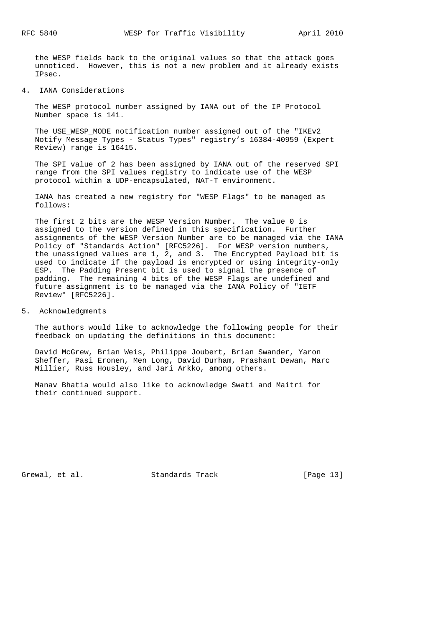the WESP fields back to the original values so that the attack goes unnoticed. However, this is not a new problem and it already exists IPsec.

4. IANA Considerations

 The WESP protocol number assigned by IANA out of the IP Protocol Number space is 141.

The USE WESP MODE notification number assigned out of the "IKEv2 Notify Message Types - Status Types" registry's 16384-40959 (Expert Review) range is 16415.

 The SPI value of 2 has been assigned by IANA out of the reserved SPI range from the SPI values registry to indicate use of the WESP protocol within a UDP-encapsulated, NAT-T environment.

 IANA has created a new registry for "WESP Flags" to be managed as follows:

 The first 2 bits are the WESP Version Number. The value 0 is assigned to the version defined in this specification. Further assignments of the WESP Version Number are to be managed via the IANA Policy of "Standards Action" [RFC5226]. For WESP version numbers, the unassigned values are 1, 2, and 3. The Encrypted Payload bit is used to indicate if the payload is encrypted or using integrity-only ESP. The Padding Present bit is used to signal the presence of padding. The remaining 4 bits of the WESP Flags are undefined and future assignment is to be managed via the IANA Policy of "IETF Review" [RFC5226].

5. Acknowledgments

 The authors would like to acknowledge the following people for their feedback on updating the definitions in this document:

 David McGrew, Brian Weis, Philippe Joubert, Brian Swander, Yaron Sheffer, Pasi Eronen, Men Long, David Durham, Prashant Dewan, Marc Millier, Russ Housley, and Jari Arkko, among others.

 Manav Bhatia would also like to acknowledge Swati and Maitri for their continued support.

Grewal, et al. Standards Track [Page 13]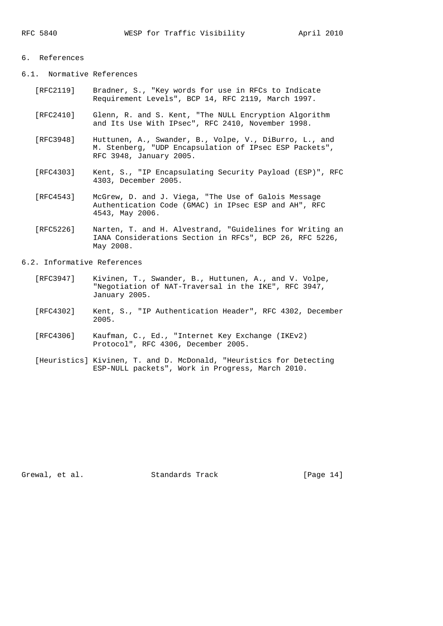### 6. References

6.1. Normative References

- [RFC2119] Bradner, S., "Key words for use in RFCs to Indicate Requirement Levels", BCP 14, RFC 2119, March 1997.
- [RFC2410] Glenn, R. and S. Kent, "The NULL Encryption Algorithm and Its Use With IPsec", RFC 2410, November 1998.
- [RFC3948] Huttunen, A., Swander, B., Volpe, V., DiBurro, L., and M. Stenberg, "UDP Encapsulation of IPsec ESP Packets", RFC 3948, January 2005.
- [RFC4303] Kent, S., "IP Encapsulating Security Payload (ESP)", RFC 4303, December 2005.
- [RFC4543] McGrew, D. and J. Viega, "The Use of Galois Message Authentication Code (GMAC) in IPsec ESP and AH", RFC 4543, May 2006.
- [RFC5226] Narten, T. and H. Alvestrand, "Guidelines for Writing an IANA Considerations Section in RFCs", BCP 26, RFC 5226, May 2008.

6.2. Informative References

- [RFC3947] Kivinen, T., Swander, B., Huttunen, A., and V. Volpe, "Negotiation of NAT-Traversal in the IKE", RFC 3947, January 2005.
- [RFC4302] Kent, S., "IP Authentication Header", RFC 4302, December 2005.
- [RFC4306] Kaufman, C., Ed., "Internet Key Exchange (IKEv2) Protocol", RFC 4306, December 2005.
- [Heuristics] Kivinen, T. and D. McDonald, "Heuristics for Detecting ESP-NULL packets", Work in Progress, March 2010.

Grewal, et al. Standards Track [Page 14]